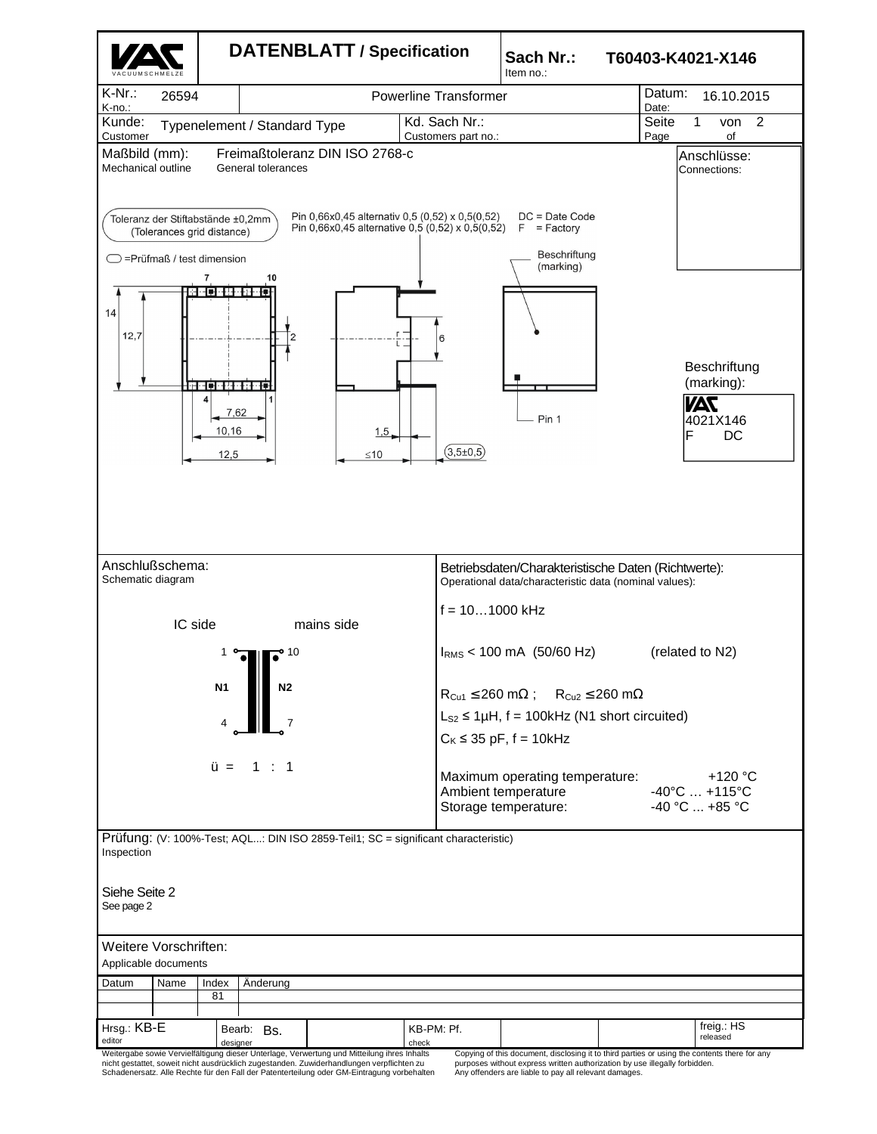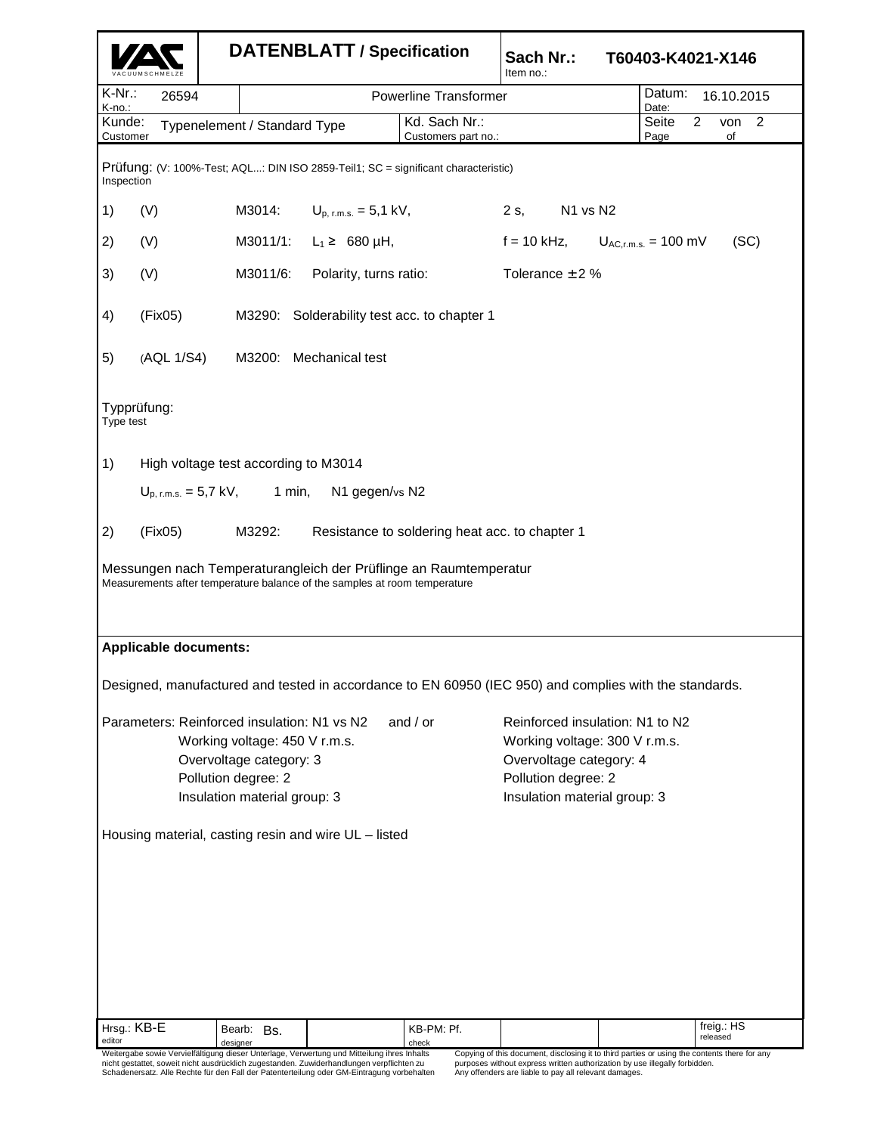|                                                                                                                                                                              |                                                        | <b>DATENBLATT / Specification</b> |                                               |                                                   | Sach Nr.:<br>T60403-K4021-X146<br>Item no.:                                                                                                        |  |               |                               |  |
|------------------------------------------------------------------------------------------------------------------------------------------------------------------------------|--------------------------------------------------------|-----------------------------------|-----------------------------------------------|---------------------------------------------------|----------------------------------------------------------------------------------------------------------------------------------------------------|--|---------------|-------------------------------|--|
| $K-Nr$ .:<br>K-no.:                                                                                                                                                          | 26594                                                  |                                   |                                               | <b>Powerline Transformer</b>                      |                                                                                                                                                    |  |               | Datum:<br>16.10.2015<br>Date: |  |
| Kunde:<br>Customer                                                                                                                                                           |                                                        | Typenelement / Standard Type      |                                               | Kd. Sach Nr.:<br>Customers part no.:              |                                                                                                                                                    |  | Seite<br>Page | $\overline{2}$<br>von 2<br>of |  |
| Prüfung: (V: 100%-Test; AQL: DIN ISO 2859-Teil1; SC = significant characteristic)<br>Inspection                                                                              |                                                        |                                   |                                               |                                                   |                                                                                                                                                    |  |               |                               |  |
| 1)                                                                                                                                                                           | (V)                                                    | M3014:                            | $U_{p, r.m.s.} = 5.1 \text{ kV},$             |                                                   | $2s$ ,<br>N1 vs N2                                                                                                                                 |  |               |                               |  |
| 2)                                                                                                                                                                           | (V)                                                    |                                   | M3011/1: $L_1 \geq 680 \mu H$ ,               | $f = 10$ kHz,<br>$U_{AC,r.m.s.} = 100$ mV<br>(SC) |                                                                                                                                                    |  |               |                               |  |
| 3)                                                                                                                                                                           | (V)                                                    | M3011/6:                          | Polarity, turns ratio:<br>Tolerance $\pm$ 2 % |                                                   |                                                                                                                                                    |  |               |                               |  |
| 4)                                                                                                                                                                           | (Fix05)<br>M3290: Solderability test acc. to chapter 1 |                                   |                                               |                                                   |                                                                                                                                                    |  |               |                               |  |
| 5)                                                                                                                                                                           | (AQL 1/S4)                                             |                                   | M3200: Mechanical test                        |                                                   |                                                                                                                                                    |  |               |                               |  |
| Typprüfung:<br>Type test                                                                                                                                                     |                                                        |                                   |                                               |                                                   |                                                                                                                                                    |  |               |                               |  |
| 1)                                                                                                                                                                           | High voltage test according to M3014                   |                                   |                                               |                                                   |                                                                                                                                                    |  |               |                               |  |
| $U_{p, r.m.s.} = 5.7 \text{ kV},$ 1 min,<br>N1 gegen/vs N2                                                                                                                   |                                                        |                                   |                                               |                                                   |                                                                                                                                                    |  |               |                               |  |
| 2)<br>(Fix05)<br>M3292:<br>Resistance to soldering heat acc. to chapter 1                                                                                                    |                                                        |                                   |                                               |                                                   |                                                                                                                                                    |  |               |                               |  |
| Messungen nach Temperaturangleich der Prüflinge an Raumtemperatur<br>Measurements after temperature balance of the samples at room temperature                               |                                                        |                                   |                                               |                                                   |                                                                                                                                                    |  |               |                               |  |
| <b>Applicable documents:</b>                                                                                                                                                 |                                                        |                                   |                                               |                                                   |                                                                                                                                                    |  |               |                               |  |
| Designed, manufactured and tested in accordance to EN 60950 (IEC 950) and complies with the standards.                                                                       |                                                        |                                   |                                               |                                                   |                                                                                                                                                    |  |               |                               |  |
| Parameters: Reinforced insulation: N1 vs N2<br>and $/$ or<br>Working voltage: 450 V r.m.s.<br>Overvoltage category: 3<br>Pollution degree: 2<br>Insulation material group: 3 |                                                        |                                   |                                               |                                                   | Reinforced insulation: N1 to N2<br>Working voltage: 300 V r.m.s.<br>Overvoltage category: 4<br>Pollution degree: 2<br>Insulation material group: 3 |  |               |                               |  |
| Housing material, casting resin and wire UL - listed                                                                                                                         |                                                        |                                   |                                               |                                                   |                                                                                                                                                    |  |               |                               |  |
|                                                                                                                                                                              |                                                        |                                   |                                               |                                                   |                                                                                                                                                    |  |               |                               |  |
| Hrsg.: KB-E<br>editor                                                                                                                                                        |                                                        | Bearb: Bs.<br>designer            |                                               | KB-PM: Pf.<br>check                               |                                                                                                                                                    |  |               | freig.: HS<br>released        |  |

ighesigner († designer University Index Lack Leck)<br>Weitergabe sowie Vervielfältigung dieser Unterlage, Verwertung und Mitteilung ihres Inhalts<br>Alther the setattet, soweit nicht ausdrücklich zugestanden. Zuwiderhandlungen

Copying of this document, disclosing it to third parties or using the contents there for any<br>purposes without express written authorization by use illegally forbidden.<br>Any offenders are liable to pay all relevant damages.